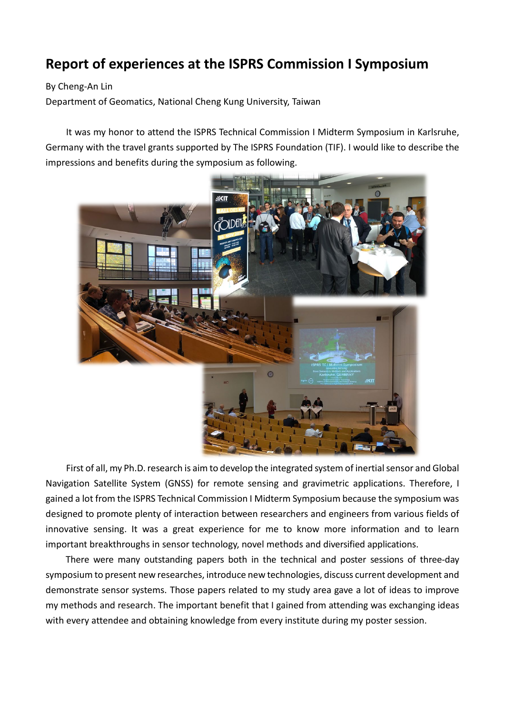## **Report of experiences at the ISPRS Commission I Symposium**

By Cheng-An Lin

Department of Geomatics, National Cheng Kung University, Taiwan

It was my honor to attend the ISPRS Technical Commission I Midterm Symposium in Karlsruhe, Germany with the travel grants supported by The ISPRS Foundation (TIF). I would like to describe the impressions and benefits during the symposium as following.



First of all, my Ph.D. research is aim to develop the integrated system of inertial sensor and Global Navigation Satellite System (GNSS) for remote sensing and gravimetric applications. Therefore, I gained a lot from the ISPRS Technical Commission I Midterm Symposium because the symposium was designed to promote plenty of interaction between researchers and engineers from various fields of innovative sensing. It was a great experience for me to know more information and to learn important breakthroughs in sensor technology, novel methods and diversified applications.

There were many outstanding papers both in the technical and poster sessions of three-day symposium to present new researches, introduce new technologies, discuss current development and demonstrate sensor systems. Those papers related to my study area gave a lot of ideas to improve my methods and research. The important benefit that I gained from attending was exchanging ideas with every attendee and obtaining knowledge from every institute during my poster session.